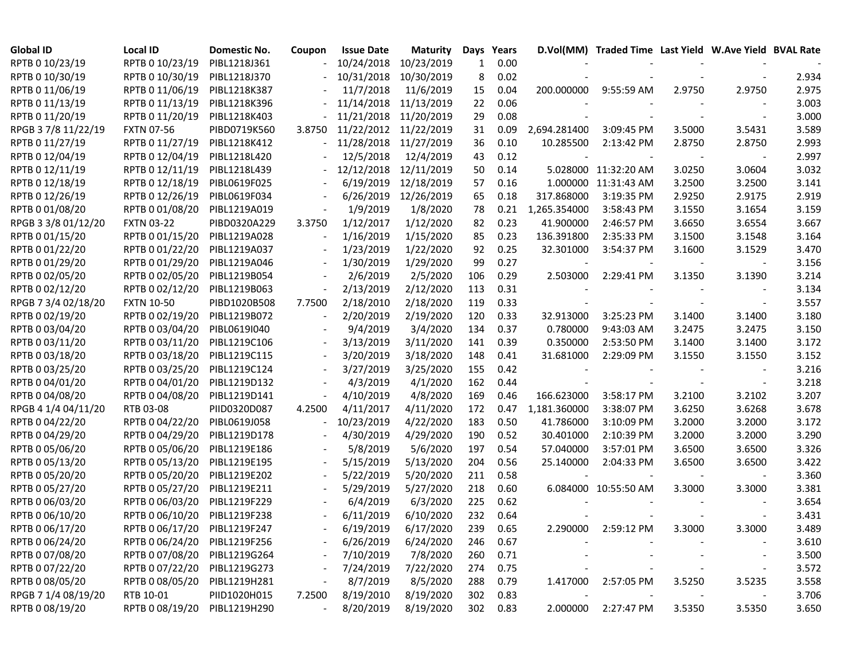| <b>Global ID</b>    | <b>Local ID</b>   | Domestic No. | Coupon | <b>Issue Date</b>     | <b>Maturity</b> | Days | Years    |              | D.Vol(MM) Traded Time Last Yield W.Ave Yield BVAL Rate |        |                          |       |
|---------------------|-------------------|--------------|--------|-----------------------|-----------------|------|----------|--------------|--------------------------------------------------------|--------|--------------------------|-------|
| RPTB 0 10/23/19     | RPTB 0 10/23/19   | PIBL1218J361 |        | 10/24/2018            | 10/23/2019      | 1    | 0.00     |              |                                                        |        |                          |       |
| RPTB 0 10/30/19     | RPTB 0 10/30/19   | PIBL1218J370 |        | 10/31/2018            | 10/30/2019      | 8    | 0.02     |              |                                                        |        |                          | 2.934 |
| RPTB 0 11/06/19     | RPTB 0 11/06/19   | PIBL1218K387 |        | 11/7/2018             | 11/6/2019       | 15   | 0.04     |              | 200.000000 9:55:59 AM                                  | 2.9750 | 2.9750                   | 2.975 |
| RPTB 0 11/13/19     | RPTB 0 11/13/19   | PIBL1218K396 |        | 11/14/2018            | 11/13/2019      | 22   | 0.06     |              |                                                        |        |                          | 3.003 |
| RPTB 0 11/20/19     | RPTB 0 11/20/19   | PIBL1218K403 |        | 11/21/2018            | 11/20/2019      | 29   | 0.08     |              |                                                        |        |                          | 3.000 |
| RPGB 37/8 11/22/19  | <b>FXTN 07-56</b> | PIBD0719K560 | 3.8750 | 11/22/2012 11/22/2019 |                 | 31   | 0.09     | 2,694.281400 | 3:09:45 PM                                             | 3.5000 | 3.5431                   | 3.589 |
| RPTB 0 11/27/19     | RPTB 0 11/27/19   | PIBL1218K412 |        | 11/28/2018            | 11/27/2019      | 36   | 0.10     | 10.285500    | 2:13:42 PM                                             | 2.8750 | 2.8750                   | 2.993 |
| RPTB 0 12/04/19     | RPTB 0 12/04/19   | PIBL1218L420 |        | 12/5/2018             | 12/4/2019       | 43   | 0.12     |              |                                                        |        |                          | 2.997 |
| RPTB 0 12/11/19     | RPTB 0 12/11/19   | PIBL1218L439 |        | 12/12/2018            | 12/11/2019      | 50   | 0.14     |              | 5.028000 11:32:20 AM                                   | 3.0250 | 3.0604                   | 3.032 |
| RPTB 0 12/18/19     | RPTB 0 12/18/19   | PIBL0619F025 |        | 6/19/2019             | 12/18/2019      | 57   | 0.16     |              | 1.000000 11:31:43 AM                                   | 3.2500 | 3.2500                   | 3.141 |
| RPTB 0 12/26/19     | RPTB 0 12/26/19   | PIBL0619F034 |        | 6/26/2019             | 12/26/2019      | 65   | 0.18     | 317.868000   | 3:19:35 PM                                             | 2.9250 | 2.9175                   | 2.919 |
| RPTB 0 01/08/20     | RPTB 0 01/08/20   | PIBL1219A019 |        | 1/9/2019              | 1/8/2020        | 78   | 0.21     | 1,265.354000 | 3:58:43 PM                                             | 3.1550 | 3.1654                   | 3.159 |
| RPGB 3 3/8 01/12/20 | <b>FXTN 03-22</b> | PIBD0320A229 | 3.3750 | 1/12/2017             | 1/12/2020       | 82   | 0.23     | 41.900000    | 2:46:57 PM                                             | 3.6650 | 3.6554                   | 3.667 |
| RPTB 0 01/15/20     | RPTB 0 01/15/20   | PIBL1219A028 |        | 1/16/2019             | 1/15/2020       | 85   | 0.23     | 136.391800   | 2:35:33 PM                                             | 3.1500 | 3.1548                   | 3.164 |
| RPTB 0 01/22/20     | RPTB 0 01/22/20   | PIBL1219A037 |        | 1/23/2019             | 1/22/2020       | 92   | 0.25     | 32.301000    | 3:54:37 PM                                             | 3.1600 | 3.1529                   | 3.470 |
| RPTB 0 01/29/20     | RPTB 0 01/29/20   | PIBL1219A046 |        | 1/30/2019             | 1/29/2020       | 99   | 0.27     |              |                                                        |        | $\overline{\phantom{a}}$ | 3.156 |
| RPTB 0 02/05/20     | RPTB 0 02/05/20   | PIBL1219B054 |        | 2/6/2019              | 2/5/2020        | 106  | 0.29     | 2.503000     | 2:29:41 PM                                             | 3.1350 | 3.1390                   | 3.214 |
| RPTB 0 02/12/20     | RPTB 0 02/12/20   | PIBL1219B063 |        | 2/13/2019             | 2/12/2020       | 113  | 0.31     |              |                                                        |        |                          | 3.134 |
| RPGB 7 3/4 02/18/20 | <b>FXTN 10-50</b> | PIBD1020B508 | 7.7500 | 2/18/2010             | 2/18/2020       | 119  | 0.33     |              |                                                        |        | $\blacksquare$           | 3.557 |
| RPTB 0 02/19/20     | RPTB 0 02/19/20   | PIBL1219B072 |        | 2/20/2019             | 2/19/2020       | 120  | 0.33     | 32.913000    | 3:25:23 PM                                             | 3.1400 | 3.1400                   | 3.180 |
| RPTB 0 03/04/20     | RPTB 0 03/04/20   | PIBL0619I040 |        | 9/4/2019              | 3/4/2020        | 134  | 0.37     | 0.780000     | 9:43:03 AM                                             | 3.2475 | 3.2475                   | 3.150 |
| RPTB 0 03/11/20     | RPTB 0 03/11/20   | PIBL1219C106 |        | 3/13/2019             | 3/11/2020       | 141  | 0.39     | 0.350000     | 2:53:50 PM                                             | 3.1400 | 3.1400                   | 3.172 |
| RPTB 0 03/18/20     | RPTB 0 03/18/20   | PIBL1219C115 |        | 3/20/2019             | 3/18/2020       | 148  | 0.41     | 31.681000    | 2:29:09 PM                                             | 3.1550 | 3.1550                   | 3.152 |
| RPTB 0 03/25/20     | RPTB 0 03/25/20   | PIBL1219C124 |        | 3/27/2019             | 3/25/2020       | 155  | 0.42     |              |                                                        |        |                          | 3.216 |
| RPTB 0 04/01/20     | RPTB 0 04/01/20   | PIBL1219D132 |        | 4/3/2019              | 4/1/2020        | 162  | 0.44     |              |                                                        |        | $\overline{\phantom{a}}$ | 3.218 |
| RPTB 0 04/08/20     | RPTB 0 04/08/20   | PIBL1219D141 |        | 4/10/2019             | 4/8/2020        | 169  | 0.46     | 166.623000   | 3:58:17 PM                                             | 3.2100 | 3.2102                   | 3.207 |
| RPGB 4 1/4 04/11/20 | RTB 03-08         | PIID0320D087 | 4.2500 | 4/11/2017             | 4/11/2020       | 172  | 0.47     | 1,181.360000 | 3:38:07 PM                                             | 3.6250 | 3.6268                   | 3.678 |
| RPTB 0 04/22/20     | RPTB 0 04/22/20   | PIBL0619J058 |        | 10/23/2019            | 4/22/2020       | 183  | 0.50     | 41.786000    | 3:10:09 PM                                             | 3.2000 | 3.2000                   | 3.172 |
| RPTB 0 04/29/20     | RPTB 0 04/29/20   | PIBL1219D178 |        | 4/30/2019             | 4/29/2020       | 190  | 0.52     | 30.401000    | 2:10:39 PM                                             | 3.2000 | 3.2000                   | 3.290 |
| RPTB 0 05/06/20     | RPTB 0 05/06/20   | PIBL1219E186 |        | 5/8/2019              | 5/6/2020        | 197  | 0.54     | 57.040000    | 3:57:01 PM                                             | 3.6500 | 3.6500                   | 3.326 |
| RPTB 0 05/13/20     | RPTB 0 05/13/20   | PIBL1219E195 |        | 5/15/2019             | 5/13/2020       | 204  | 0.56     | 25.140000    | 2:04:33 PM                                             | 3.6500 | 3.6500                   | 3.422 |
| RPTB 0 05/20/20     | RPTB 0 05/20/20   | PIBL1219E202 |        | 5/22/2019             | 5/20/2020       | 211  | 0.58     |              |                                                        |        |                          | 3.360 |
| RPTB 0 05/27/20     | RPTB 0 05/27/20   | PIBL1219E211 |        | 5/29/2019             | 5/27/2020       | 218  | 0.60     |              | 6.084000 10:55:50 AM                                   | 3.3000 | 3.3000                   | 3.381 |
| RPTB 0 06/03/20     | RPTB 0 06/03/20   | PIBL1219F229 |        | 6/4/2019              | 6/3/2020        | 225  | 0.62     |              |                                                        |        |                          | 3.654 |
| RPTB 0 06/10/20     | RPTB 0 06/10/20   | PIBL1219F238 |        | 6/11/2019             | 6/10/2020       | 232  | 0.64     |              |                                                        |        |                          | 3.431 |
| RPTB 0 06/17/20     | RPTB 0 06/17/20   | PIBL1219F247 |        | 6/19/2019             | 6/17/2020       | 239  | 0.65     |              | 2.290000 2:59:12 PM                                    | 3.3000 | 3.3000                   | 3.489 |
| RPTB 0 06/24/20     | RPTB 0 06/24/20   | PIBL1219F256 |        | 6/26/2019             | 6/24/2020       | 246  | 0.67     |              |                                                        |        |                          | 3.610 |
| RPTB 0 07/08/20     | RPTB 0 07/08/20   | PIBL1219G264 |        | 7/10/2019             | 7/8/2020        | 260  | 0.71     |              |                                                        |        |                          | 3.500 |
| RPTB 0 07/22/20     | RPTB 0 07/22/20   | PIBL1219G273 |        | 7/24/2019             | 7/22/2020       | 274  | 0.75     |              |                                                        |        |                          | 3.572 |
| RPTB 0 08/05/20     | RPTB 0 08/05/20   | PIBL1219H281 |        | 8/7/2019              | 8/5/2020        | 288  | 0.79     | 1.417000     | 2:57:05 PM                                             | 3.5250 | 3.5235                   | 3.558 |
| RPGB 7 1/4 08/19/20 | RTB 10-01         | PIID1020H015 | 7.2500 | 8/19/2010             | 8/19/2020       | 302  | 0.83     |              |                                                        |        |                          | 3.706 |
| RPTB 0 08/19/20     | RPTB 0 08/19/20   | PIBL1219H290 |        | 8/20/2019             | 8/19/2020       |      | 302 0.83 | 2.000000     | 2:27:47 PM                                             | 3.5350 | 3.5350                   | 3.650 |
|                     |                   |              |        |                       |                 |      |          |              |                                                        |        |                          |       |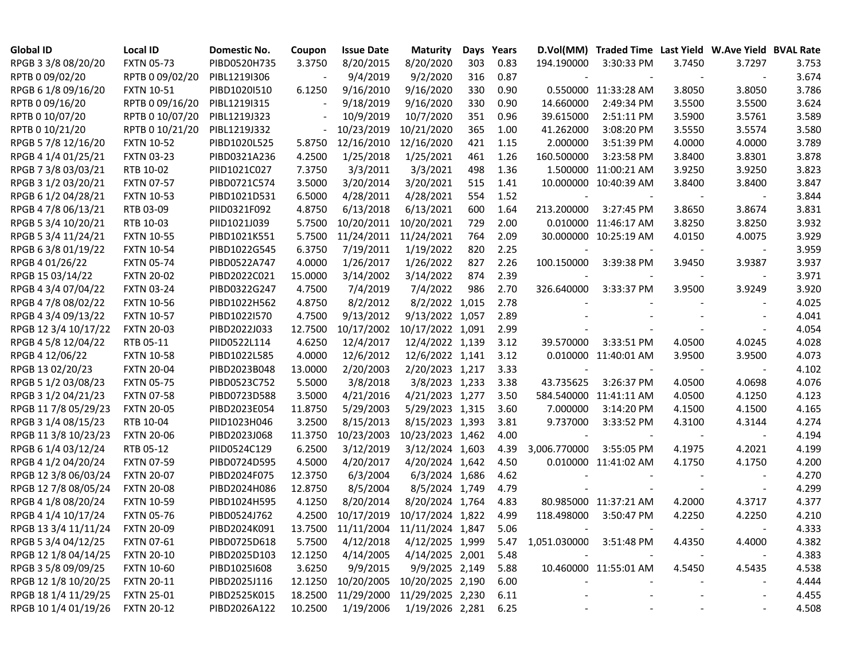| <b>Global ID</b>     | <b>Local ID</b>   | Domestic No. | Coupon  | <b>Issue Date</b> | <b>Maturity</b>                     |     | Days Years |                              | D.Vol(MM) Traded Time Last Yield W.Ave Yield BVAL Rate |        |                          |       |
|----------------------|-------------------|--------------|---------|-------------------|-------------------------------------|-----|------------|------------------------------|--------------------------------------------------------|--------|--------------------------|-------|
| RPGB 3 3/8 08/20/20  | <b>FXTN 05-73</b> | PIBD0520H735 | 3.3750  | 8/20/2015         | 8/20/2020                           | 303 | 0.83       | 194.190000                   | 3:30:33 PM                                             | 3.7450 | 3.7297                   | 3.753 |
| RPTB 0 09/02/20      | RPTB 0 09/02/20   | PIBL1219I306 |         | 9/4/2019          | 9/2/2020                            | 316 | 0.87       |                              |                                                        |        |                          | 3.674 |
| RPGB 6 1/8 09/16/20  | <b>FXTN 10-51</b> | PIBD1020I510 | 6.1250  | 9/16/2010         | 9/16/2020                           | 330 | 0.90       |                              | 0.550000 11:33:28 AM                                   | 3.8050 | 3.8050                   | 3.786 |
| RPTB 0 09/16/20      | RPTB 0 09/16/20   | PIBL1219I315 |         | 9/18/2019         | 9/16/2020                           | 330 | 0.90       | 14.660000                    | 2:49:34 PM                                             | 3.5500 | 3.5500                   | 3.624 |
| RPTB 0 10/07/20      | RPTB 0 10/07/20   | PIBL1219J323 |         | 10/9/2019         | 10/7/2020                           | 351 | 0.96       | 39.615000                    | 2:51:11 PM                                             | 3.5900 | 3.5761                   | 3.589 |
| RPTB 0 10/21/20      | RPTB 0 10/21/20   | PIBL1219J332 |         | 10/23/2019        | 10/21/2020                          | 365 | 1.00       | 41.262000                    | 3:08:20 PM                                             | 3.5550 | 3.5574                   | 3.580 |
| RPGB 5 7/8 12/16/20  | <b>FXTN 10-52</b> | PIBD1020L525 | 5.8750  | 12/16/2010        | 12/16/2020                          | 421 | 1.15       | 2.000000                     | 3:51:39 PM                                             | 4.0000 | 4.0000                   | 3.789 |
| RPGB 4 1/4 01/25/21  | <b>FXTN 03-23</b> | PIBD0321A236 | 4.2500  | 1/25/2018         | 1/25/2021                           | 461 | 1.26       | 160.500000                   | 3:23:58 PM                                             | 3.8400 | 3.8301                   | 3.878 |
| RPGB 7 3/8 03/03/21  | RTB 10-02         | PIID1021C027 | 7.3750  | 3/3/2011          | 3/3/2021                            | 498 | 1.36       |                              | 1.500000 11:00:21 AM                                   | 3.9250 | 3.9250                   | 3.823 |
| RPGB 3 1/2 03/20/21  | <b>FXTN 07-57</b> | PIBD0721C574 | 3.5000  | 3/20/2014         | 3/20/2021                           | 515 | 1.41       |                              | 10.000000 10:40:39 AM                                  | 3.8400 | 3.8400                   | 3.847 |
| RPGB 6 1/2 04/28/21  | <b>FXTN 10-53</b> | PIBD1021D531 | 6.5000  | 4/28/2011         | 4/28/2021                           | 554 | 1.52       |                              |                                                        |        |                          | 3.844 |
| RPGB 4 7/8 06/13/21  | RTB 03-09         | PIID0321F092 | 4.8750  | 6/13/2018         | 6/13/2021                           | 600 | 1.64       | 213.200000                   | 3:27:45 PM                                             | 3.8650 | 3.8674                   | 3.831 |
| RPGB 5 3/4 10/20/21  | RTB 10-03         | PIID1021J039 | 5.7500  | 10/20/2011        | 10/20/2021                          | 729 | 2.00       |                              | 0.010000 11:46:17 AM                                   | 3.8250 | 3.8250                   | 3.932 |
| RPGB 5 3/4 11/24/21  | <b>FXTN 10-55</b> | PIBD1021K551 | 5.7500  | 11/24/2011        | 11/24/2021                          | 764 | 2.09       |                              | 30.000000 10:25:19 AM                                  | 4.0150 | 4.0075                   | 3.929 |
| RPGB 63/8 01/19/22   | <b>FXTN 10-54</b> | PIBD1022G545 | 6.3750  | 7/19/2011         | 1/19/2022                           | 820 | 2.25       |                              |                                                        |        | $\overline{\phantom{a}}$ | 3.959 |
| RPGB 4 01/26/22      | <b>FXTN 05-74</b> | PIBD0522A747 | 4.0000  | 1/26/2017         | 1/26/2022                           | 827 | 2.26       | 100.150000                   | 3:39:38 PM                                             | 3.9450 | 3.9387                   | 3.937 |
| RPGB 15 03/14/22     | <b>FXTN 20-02</b> | PIBD2022C021 | 15.0000 | 3/14/2002         | 3/14/2022                           | 874 | 2.39       |                              |                                                        |        | $\overline{\phantom{a}}$ | 3.971 |
| RPGB 4 3/4 07/04/22  | <b>FXTN 03-24</b> | PIBD0322G247 | 4.7500  | 7/4/2019          | 7/4/2022                            | 986 | 2.70       | 326.640000                   | 3:33:37 PM                                             | 3.9500 | 3.9249                   | 3.920 |
| RPGB 4 7/8 08/02/22  | <b>FXTN 10-56</b> | PIBD1022H562 | 4.8750  | 8/2/2012          | 8/2/2022 1,015                      |     | 2.78       |                              |                                                        |        |                          | 4.025 |
| RPGB 4 3/4 09/13/22  | <b>FXTN 10-57</b> | PIBD1022I570 | 4.7500  | 9/13/2012         | 9/13/2022 1,057                     |     | 2.89       |                              |                                                        |        |                          | 4.041 |
| RPGB 12 3/4 10/17/22 | <b>FXTN 20-03</b> | PIBD2022J033 | 12.7500 | 10/17/2002        | 10/17/2022 1,091                    |     | 2.99       |                              |                                                        |        |                          | 4.054 |
| RPGB 4 5/8 12/04/22  | RTB 05-11         | PIID0522L114 | 4.6250  | 12/4/2017         | 12/4/2022 1,139                     |     | 3.12       | 39.570000                    | 3:33:51 PM                                             | 4.0500 | 4.0245                   | 4.028 |
| RPGB 4 12/06/22      | <b>FXTN 10-58</b> | PIBD1022L585 | 4.0000  | 12/6/2012         | 12/6/2022 1,141                     |     | 3.12       |                              | 0.010000 11:40:01 AM                                   | 3.9500 | 3.9500                   | 4.073 |
| RPGB 13 02/20/23     | <b>FXTN 20-04</b> | PIBD2023B048 | 13.0000 | 2/20/2003         | 2/20/2023 1,217                     |     | 3.33       |                              |                                                        |        |                          | 4.102 |
| RPGB 5 1/2 03/08/23  | <b>FXTN 05-75</b> | PIBD0523C752 | 5.5000  | 3/8/2018          | 3/8/2023 1,233                      |     | 3.38       | 43.735625                    | 3:26:37 PM                                             | 4.0500 | 4.0698                   | 4.076 |
| RPGB 3 1/2 04/21/23  | <b>FXTN 07-58</b> | PIBD0723D588 | 3.5000  | 4/21/2016         | 4/21/2023 1,277                     |     | 3.50       |                              | 584.540000 11:41:11 AM                                 | 4.0500 | 4.1250                   | 4.123 |
| RPGB 11 7/8 05/29/23 | <b>FXTN 20-05</b> | PIBD2023E054 | 11.8750 | 5/29/2003         | 5/29/2023 1,315                     |     | 3.60       | 7.000000                     | 3:14:20 PM                                             | 4.1500 | 4.1500                   | 4.165 |
| RPGB 3 1/4 08/15/23  | RTB 10-04         | PIID1023H046 | 3.2500  | 8/15/2013         | 8/15/2023 1,393                     |     | 3.81       | 9.737000                     | 3:33:52 PM                                             | 4.3100 | 4.3144                   | 4.274 |
| RPGB 11 3/8 10/23/23 | <b>FXTN 20-06</b> | PIBD2023J068 | 11.3750 | 10/23/2003        | 10/23/2023 1,462                    |     | 4.00       |                              |                                                        |        |                          | 4.194 |
| RPGB 6 1/4 03/12/24  | RTB 05-12         | PIID0524C129 | 6.2500  | 3/12/2019         | 3/12/2024 1,603                     |     | 4.39       | 3,006.770000                 | 3:55:05 PM                                             | 4.1975 | 4.2021                   | 4.199 |
| RPGB 4 1/2 04/20/24  | <b>FXTN 07-59</b> | PIBD0724D595 | 4.5000  | 4/20/2017         | 4/20/2024 1,642                     |     | 4.50       |                              | 0.010000 11:41:02 AM                                   | 4.1750 | 4.1750                   | 4.200 |
| RPGB 12 3/8 06/03/24 | <b>FXTN 20-07</b> | PIBD2024F075 | 12.3750 | 6/3/2004          | 6/3/2024 1,686                      |     | 4.62       |                              |                                                        |        |                          | 4.270 |
| RPGB 12 7/8 08/05/24 | <b>FXTN 20-08</b> | PIBD2024H086 | 12.8750 | 8/5/2004          | 8/5/2024 1,749                      |     | 4.79       |                              |                                                        |        | $\overline{\phantom{a}}$ | 4.299 |
| RPGB 4 1/8 08/20/24  | <b>FXTN 10-59</b> | PIBD1024H595 | 4.1250  | 8/20/2014         | 8/20/2024 1,764                     |     | 4.83       |                              | 80.985000 11:37:21 AM                                  | 4.2000 | 4.3717                   | 4.377 |
| RPGB 4 1/4 10/17/24  | <b>FXTN 05-76</b> | PIBD0524J762 | 4.2500  | 10/17/2019        | 10/17/2024 1,822                    |     | 4.99       | 118.498000                   | 3:50:47 PM                                             | 4.2250 | 4.2250                   | 4.210 |
| RPGB 13 3/4 11/11/24 | <b>FXTN 20-09</b> | PIBD2024K091 |         |                   | 13.7500 11/11/2004 11/11/2024 1,847 |     | 5.06       |                              |                                                        |        |                          | 4.333 |
| RPGB 5 3/4 04/12/25  | <b>FXTN 07-61</b> | PIBD0725D618 | 5.7500  | 4/12/2018         | 4/12/2025 1,999                     |     |            | 5.47 1,051.030000 3:51:48 PM |                                                        | 4.4350 | 4.4000                   | 4.382 |
| RPGB 12 1/8 04/14/25 | <b>FXTN 20-10</b> | PIBD2025D103 | 12.1250 | 4/14/2005         | 4/14/2025 2,001                     |     | 5.48       |                              |                                                        |        |                          | 4.383 |
| RPGB 3 5/8 09/09/25  | <b>FXTN 10-60</b> | PIBD10251608 | 3.6250  | 9/9/2015          | 9/9/2025 2,149                      |     | 5.88       |                              | 10.460000 11:55:01 AM                                  | 4.5450 | 4.5435                   | 4.538 |
| RPGB 12 1/8 10/20/25 | <b>FXTN 20-11</b> | PIBD2025J116 | 12.1250 | 10/20/2005        | 10/20/2025 2,190                    |     | 6.00       |                              |                                                        |        |                          | 4.444 |
| RPGB 18 1/4 11/29/25 | <b>FXTN 25-01</b> | PIBD2525K015 | 18.2500 | 11/29/2000        | 11/29/2025 2,230                    |     | 6.11       |                              |                                                        |        |                          | 4.455 |
| RPGB 10 1/4 01/19/26 | <b>FXTN 20-12</b> | PIBD2026A122 | 10.2500 | 1/19/2006         | 1/19/2026 2,281                     |     | 6.25       |                              |                                                        |        |                          | 4.508 |